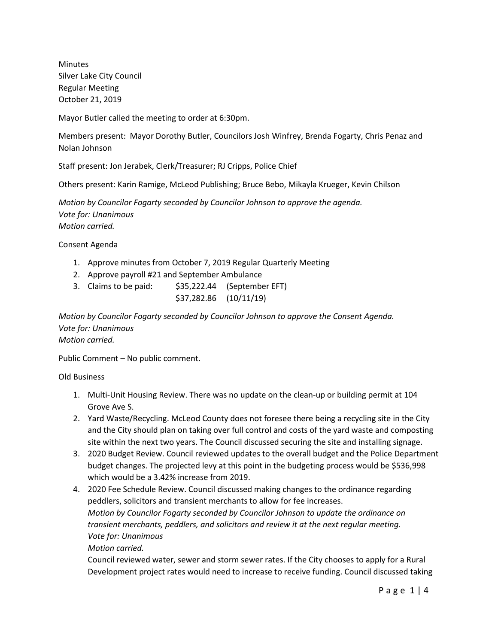Minutes Silver Lake City Council Regular Meeting October 21, 2019

Mayor Butler called the meeting to order at 6:30pm.

Members present: Mayor Dorothy Butler, Councilors Josh Winfrey, Brenda Fogarty, Chris Penaz and Nolan Johnson

Staff present: Jon Jerabek, Clerk/Treasurer; RJ Cripps, Police Chief

Others present: Karin Ramige, McLeod Publishing; Bruce Bebo, Mikayla Krueger, Kevin Chilson

*Motion by Councilor Fogarty seconded by Councilor Johnson to approve the agenda. Vote for: Unanimous Motion carried.*

Consent Agenda

- 1. Approve minutes from October 7, 2019 Regular Quarterly Meeting
- 2. Approve payroll #21 and September Ambulance
- 3. Claims to be paid: \$35,222.44 (September EFT) \$37,282.86 (10/11/19)

*Motion by Councilor Fogarty seconded by Councilor Johnson to approve the Consent Agenda. Vote for: Unanimous Motion carried.*

Public Comment – No public comment.

Old Business

- 1. Multi-Unit Housing Review. There was no update on the clean-up or building permit at 104 Grove Ave S.
- 2. Yard Waste/Recycling. McLeod County does not foresee there being a recycling site in the City and the City should plan on taking over full control and costs of the yard waste and composting site within the next two years. The Council discussed securing the site and installing signage.
- 3. 2020 Budget Review. Council reviewed updates to the overall budget and the Police Department budget changes. The projected levy at this point in the budgeting process would be \$536,998 which would be a 3.42% increase from 2019.
- 4. 2020 Fee Schedule Review. Council discussed making changes to the ordinance regarding peddlers, solicitors and transient merchants to allow for fee increases. *Motion by Councilor Fogarty seconded by Councilor Johnson to update the ordinance on transient merchants, peddlers, and solicitors and review it at the next regular meeting. Vote for: Unanimous*

*Motion carried.*

Council reviewed water, sewer and storm sewer rates. If the City chooses to apply for a Rural Development project rates would need to increase to receive funding. Council discussed taking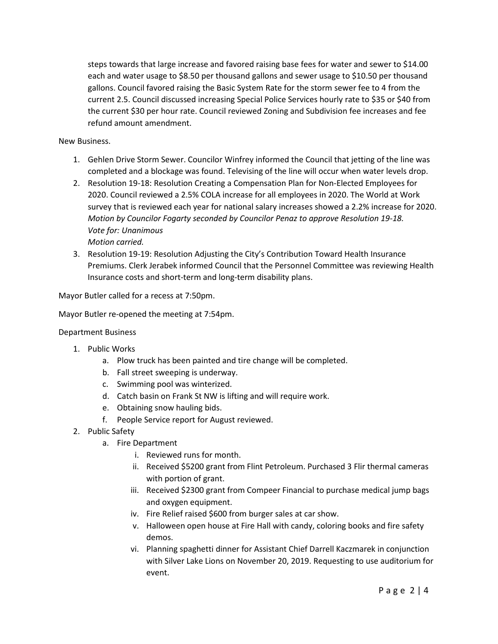steps towards that large increase and favored raising base fees for water and sewer to \$14.00 each and water usage to \$8.50 per thousand gallons and sewer usage to \$10.50 per thousand gallons. Council favored raising the Basic System Rate for the storm sewer fee to 4 from the current 2.5. Council discussed increasing Special Police Services hourly rate to \$35 or \$40 from the current \$30 per hour rate. Council reviewed Zoning and Subdivision fee increases and fee refund amount amendment.

New Business.

- 1. Gehlen Drive Storm Sewer. Councilor Winfrey informed the Council that jetting of the line was completed and a blockage was found. Televising of the line will occur when water levels drop.
- 2. Resolution 19-18: Resolution Creating a Compensation Plan for Non-Elected Employees for 2020. Council reviewed a 2.5% COLA increase for all employees in 2020. The World at Work survey that is reviewed each year for national salary increases showed a 2.2% increase for 2020. *Motion by Councilor Fogarty seconded by Councilor Penaz to approve Resolution 19-18. Vote for: Unanimous Motion carried.*
- 3. Resolution 19-19: Resolution Adjusting the City's Contribution Toward Health Insurance Premiums. Clerk Jerabek informed Council that the Personnel Committee was reviewing Health Insurance costs and short-term and long-term disability plans.

Mayor Butler called for a recess at 7:50pm.

Mayor Butler re-opened the meeting at 7:54pm.

### Department Business

- 1. Public Works
	- a. Plow truck has been painted and tire change will be completed.
	- b. Fall street sweeping is underway.
	- c. Swimming pool was winterized.
	- d. Catch basin on Frank St NW is lifting and will require work.
	- e. Obtaining snow hauling bids.
	- f. People Service report for August reviewed.
- 2. Public Safety
	- a. Fire Department
		- i. Reviewed runs for month.
		- ii. Received \$5200 grant from Flint Petroleum. Purchased 3 Flir thermal cameras with portion of grant.
		- iii. Received \$2300 grant from Compeer Financial to purchase medical jump bags and oxygen equipment.
		- iv. Fire Relief raised \$600 from burger sales at car show.
		- v. Halloween open house at Fire Hall with candy, coloring books and fire safety demos.
		- vi. Planning spaghetti dinner for Assistant Chief Darrell Kaczmarek in conjunction with Silver Lake Lions on November 20, 2019. Requesting to use auditorium for event.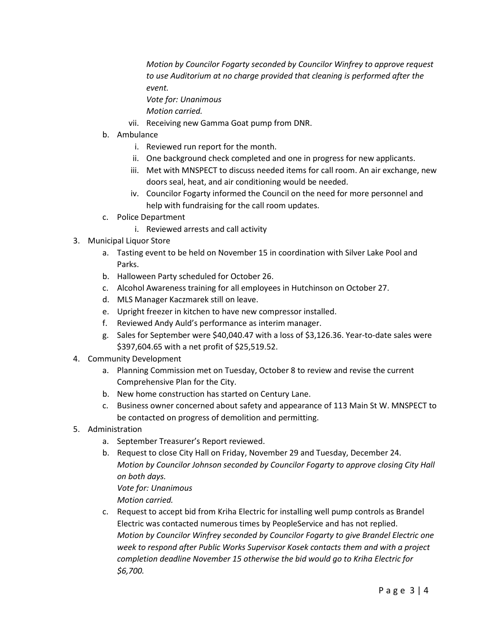*Motion by Councilor Fogarty seconded by Councilor Winfrey to approve request to use Auditorium at no charge provided that cleaning is performed after the event.*

*Vote for: Unanimous Motion carried.*

- vii. Receiving new Gamma Goat pump from DNR.
- b. Ambulance
	- i. Reviewed run report for the month.
	- ii. One background check completed and one in progress for new applicants.
	- iii. Met with MNSPECT to discuss needed items for call room. An air exchange, new doors seal, heat, and air conditioning would be needed.
	- iv. Councilor Fogarty informed the Council on the need for more personnel and help with fundraising for the call room updates.
- c. Police Department
	- i. Reviewed arrests and call activity
- 3. Municipal Liquor Store
	- a. Tasting event to be held on November 15 in coordination with Silver Lake Pool and Parks.
	- b. Halloween Party scheduled for October 26.
	- c. Alcohol Awareness training for all employees in Hutchinson on October 27.
	- d. MLS Manager Kaczmarek still on leave.
	- e. Upright freezer in kitchen to have new compressor installed.
	- f. Reviewed Andy Auld's performance as interim manager.
	- g. Sales for September were \$40,040.47 with a loss of \$3,126.36. Year-to-date sales were \$397,604.65 with a net profit of \$25,519.52.
- 4. Community Development
	- a. Planning Commission met on Tuesday, October 8 to review and revise the current Comprehensive Plan for the City.
	- b. New home construction has started on Century Lane.
	- c. Business owner concerned about safety and appearance of 113 Main St W. MNSPECT to be contacted on progress of demolition and permitting.
- 5. Administration
	- a. September Treasurer's Report reviewed.
	- b. Request to close City Hall on Friday, November 29 and Tuesday, December 24. *Motion by Councilor Johnson seconded by Councilor Fogarty to approve closing City Hall on both days.*

*Vote for: Unanimous Motion carried.*

c. Request to accept bid from Kriha Electric for installing well pump controls as Brandel Electric was contacted numerous times by PeopleService and has not replied. *Motion by Councilor Winfrey seconded by Councilor Fogarty to give Brandel Electric one week to respond after Public Works Supervisor Kosek contacts them and with a project completion deadline November 15 otherwise the bid would go to Kriha Electric for \$6,700.*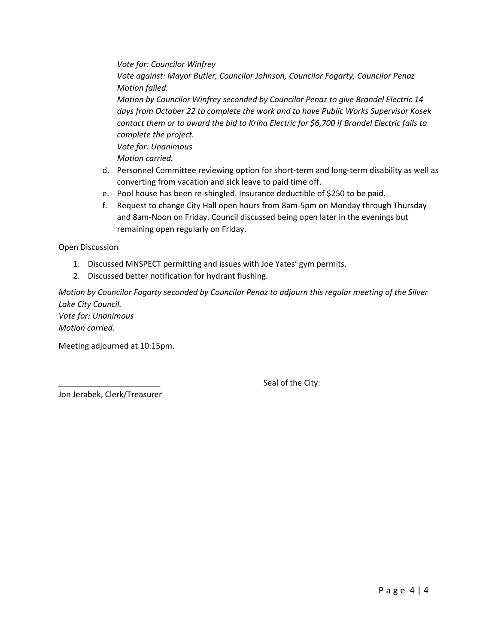*Vote for: Councilor Winfrey Vote against: Mayor Butler, Councilor Johnson, Councilor Fogarty, Councilor Penaz Motion failed. Motion by Councilor Winfrey seconded by Councilor Penaz to give Brandel Electric 14 days from October 22 to complete the work and to have Public Works Supervisor Kosek contact them or to award the bid to Kriha Electric for \$6,700 if Brandel Electric fails to complete the project. Vote for: Unanimous Motion carried.* d. Personnel Committee reviewing option for short-term and long-term disability as well as

- converting from vacation and sick leave to paid time off.
- e. Pool house has been re-shingled. Insurance deductible of \$250 to be paid.
- f. Request to change City Hall open hours from 8am-5pm on Monday through Thursday and 8am-Noon on Friday. Council discussed being open later in the evenings but remaining open regularly on Friday.

Open Discussion

- 1. Discussed MNSPECT permitting and issues with Joe Yates' gym permits.
- 2. Discussed better notification for hydrant flushing.

*Motion by Councilor Fogarty seconded by Councilor Penaz to adjourn this regular meeting of the Silver Lake City Council. Vote for: Unanimous Motion carried.*

Meeting adjourned at 10:15pm.

Seal of the City:

Jon Jerabek, Clerk/Treasurer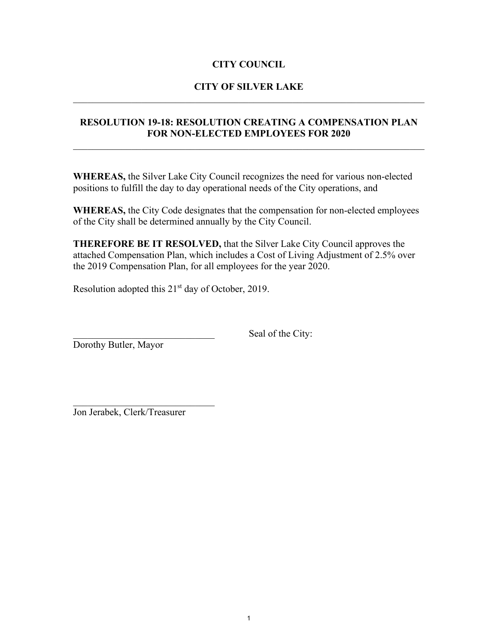# **CITY COUNCIL**

# **CITY OF SILVER LAKE**  $\mathcal{L}_\text{G}$  , and the contribution of the contribution of the contribution of the contribution of the contribution of the contribution of the contribution of the contribution of the contribution of the contribution of t

## **RESOLUTION 19-18: RESOLUTION CREATING A COMPENSATION PLAN FOR NON-ELECTED EMPLOYEES FOR 2020**

**WHEREAS,** the Silver Lake City Council recognizes the need for various non-elected positions to fulfill the day to day operational needs of the City operations, and

**WHEREAS,** the City Code designates that the compensation for non-elected employees of the City shall be determined annually by the City Council.

**THEREFORE BE IT RESOLVED,** that the Silver Lake City Council approves the attached Compensation Plan, which includes a Cost of Living Adjustment of 2.5% over the 2019 Compensation Plan, for all employees for the year 2020.

Resolution adopted this  $21<sup>st</sup>$  day of October, 2019.

Seal of the City:

Dorothy Butler, Mayor

\_\_\_\_\_\_\_\_\_\_\_\_\_\_\_\_\_\_\_\_\_\_\_\_\_\_\_\_\_ Jon Jerabek, Clerk/Treasurer